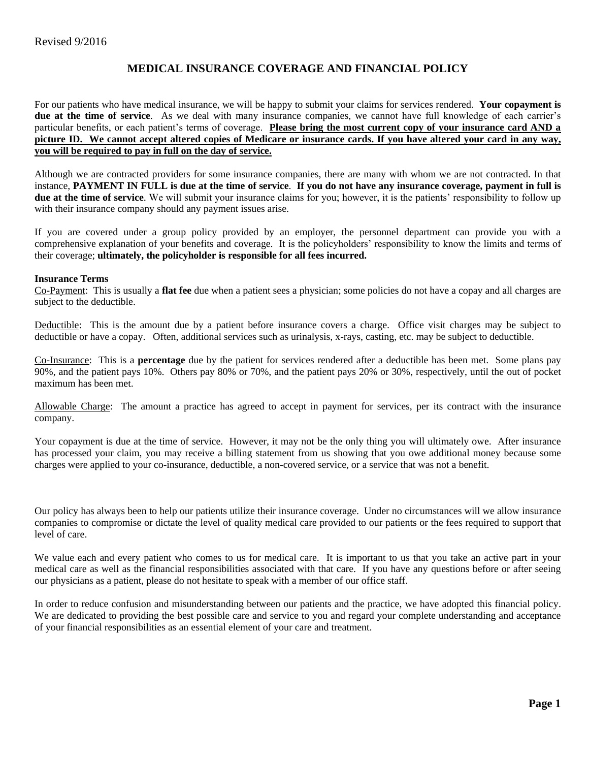## **MEDICAL INSURANCE COVERAGE AND FINANCIAL POLICY**

For our patients who have medical insurance, we will be happy to submit your claims for services rendered. **Your copayment is due at the time of service**. As we deal with many insurance companies, we cannot have full knowledge of each carrier's particular benefits, or each patient's terms of coverage. **Please bring the most current copy of your insurance card AND a picture ID. We cannot accept altered copies of Medicare or insurance cards. If you have altered your card in any way, you will be required to pay in full on the day of service.** 

Although we are contracted providers for some insurance companies, there are many with whom we are not contracted. In that instance, **PAYMENT IN FULL is due at the time of service**. **If you do not have any insurance coverage, payment in full is due at the time of service**. We will submit your insurance claims for you; however, it is the patients' responsibility to follow up with their insurance company should any payment issues arise.

If you are covered under a group policy provided by an employer, the personnel department can provide you with a comprehensive explanation of your benefits and coverage. It is the policyholders' responsibility to know the limits and terms of their coverage; **ultimately, the policyholder is responsible for all fees incurred.**

### **Insurance Terms**

Co-Payment: This is usually a **flat fee** due when a patient sees a physician; some policies do not have a copay and all charges are subject to the deductible.

Deductible: This is the amount due by a patient before insurance covers a charge. Office visit charges may be subject to deductible or have a copay. Often, additional services such as urinalysis, x-rays, casting, etc. may be subject to deductible.

Co-Insurance: This is a **percentage** due by the patient for services rendered after a deductible has been met. Some plans pay 90%, and the patient pays 10%. Others pay 80% or 70%, and the patient pays 20% or 30%, respectively, until the out of pocket maximum has been met.

Allowable Charge: The amount a practice has agreed to accept in payment for services, per its contract with the insurance company.

Your copayment is due at the time of service. However, it may not be the only thing you will ultimately owe. After insurance has processed your claim, you may receive a billing statement from us showing that you owe additional money because some charges were applied to your co-insurance, deductible, a non-covered service, or a service that was not a benefit.

Our policy has always been to help our patients utilize their insurance coverage. Under no circumstances will we allow insurance companies to compromise or dictate the level of quality medical care provided to our patients or the fees required to support that level of care.

We value each and every patient who comes to us for medical care. It is important to us that you take an active part in your medical care as well as the financial responsibilities associated with that care. If you have any questions before or after seeing our physicians as a patient, please do not hesitate to speak with a member of our office staff.

In order to reduce confusion and misunderstanding between our patients and the practice, we have adopted this financial policy. We are dedicated to providing the best possible care and service to you and regard your complete understanding and acceptance of your financial responsibilities as an essential element of your care and treatment.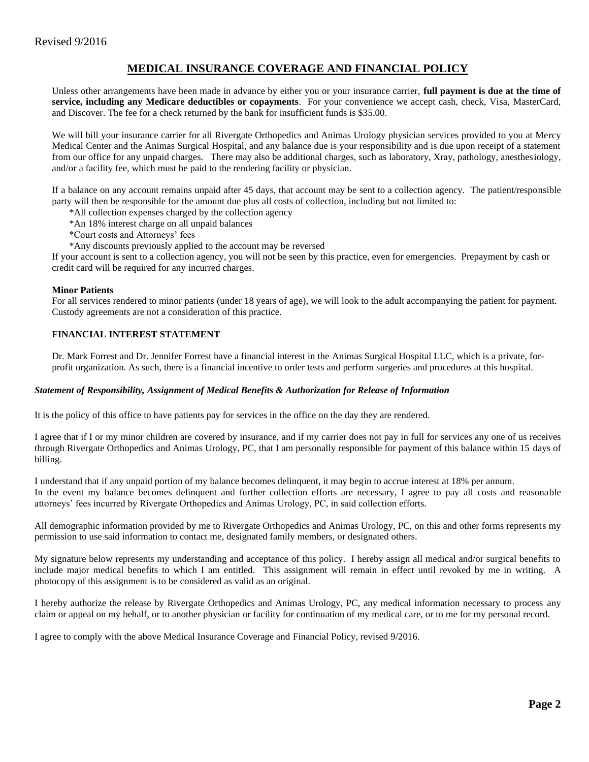# **MEDICAL INSURANCE COVERAGE AND FINANCIAL POLICY**

Unless other arrangements have been made in advance by either you or your insurance carrier, **full payment is due at the time of service, including any Medicare deductibles or copayments**. For your convenience we accept cash, check, Visa, MasterCard, and Discover. The fee for a check returned by the bank for insufficient funds is \$35.00.

We will bill your insurance carrier for all Rivergate Orthopedics and Animas Urology physician services provided to you at Mercy Medical Center and the Animas Surgical Hospital, and any balance due is your responsibility and is due upon receipt of a statement from our office for any unpaid charges. There may also be additional charges, such as laboratory, Xray, pathology, anesthesiology, and/or a facility fee, which must be paid to the rendering facility or physician.

If a balance on any account remains unpaid after 45 days, that account may be sent to a collection agency. The patient/responsible party will then be responsible for the amount due plus all costs of collection, including but not limited to:

- \*All collection expenses charged by the collection agency
- \*An 18% interest charge on all unpaid balances
- \*Court costs and Attorneys' fees
- \*Any discounts previously applied to the account may be reversed

If your account is sent to a collection agency, you will not be seen by this practice, even for emergencies. Prepayment by cash or credit card will be required for any incurred charges.

#### **Minor Patients**

For all services rendered to minor patients (under 18 years of age), we will look to the adult accompanying the patient for payment. Custody agreements are not a consideration of this practice.

### **FINANCIAL INTEREST STATEMENT**

Dr. Mark Forrest and Dr. Jennifer Forrest have a financial interest in the Animas Surgical Hospital LLC, which is a private, forprofit organization. As such, there is a financial incentive to order tests and perform surgeries and procedures at this hospital.

### *Statement of Responsibility, Assignment of Medical Benefits & Authorization for Release of Information*

It is the policy of this office to have patients pay for services in the office on the day they are rendered.

I agree that if I or my minor children are covered by insurance, and if my carrier does not pay in full for services any one of us receives through Rivergate Orthopedics and Animas Urology, PC, that I am personally responsible for payment of this balance within 15 days of billing.

I understand that if any unpaid portion of my balance becomes delinquent, it may begin to accrue interest at 18% per annum. In the event my balance becomes delinquent and further collection efforts are necessary, I agree to pay all costs and reasonable attorneys' fees incurred by Rivergate Orthopedics and Animas Urology, PC, in said collection efforts.

All demographic information provided by me to Rivergate Orthopedics and Animas Urology, PC, on this and other forms represents my permission to use said information to contact me, designated family members, or designated others.

My signature below represents my understanding and acceptance of this policy. I hereby assign all medical and/or surgical benefits to include major medical benefits to which I am entitled. This assignment will remain in effect until revoked by me in writing. A photocopy of this assignment is to be considered as valid as an original.

I hereby authorize the release by Rivergate Orthopedics and Animas Urology, PC, any medical information necessary to process any claim or appeal on my behalf, or to another physician or facility for continuation of my medical care, or to me for my personal record.

I agree to comply with the above Medical Insurance Coverage and Financial Policy, revised 9/2016.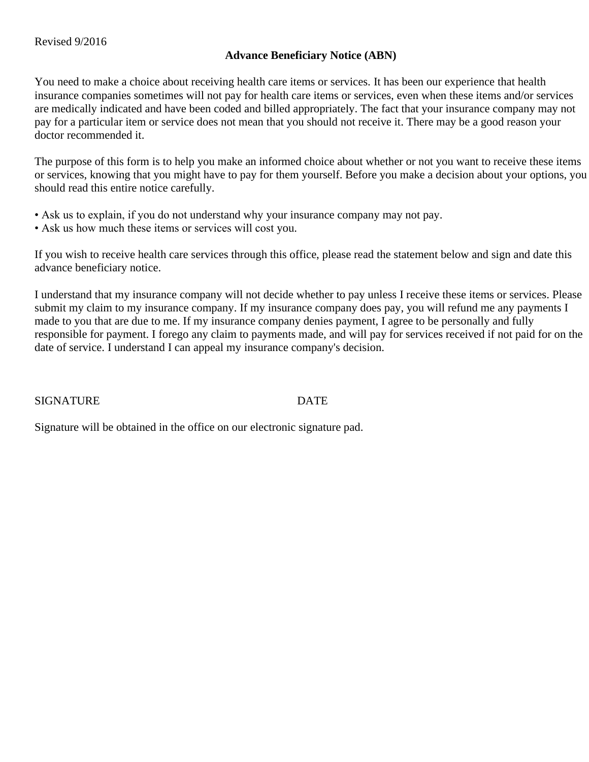## **Advance Beneficiary Notice (ABN)**

You need to make a choice about receiving health care items or services. It has been our experience that health insurance companies sometimes will not pay for health care items or services, even when these items and/or services are medically indicated and have been coded and billed appropriately. The fact that your insurance company may not pay for a particular item or service does not mean that you should not receive it. There may be a good reason your doctor recommended it.

The purpose of this form is to help you make an informed choice about whether or not you want to receive these items or services, knowing that you might have to pay for them yourself. Before you make a decision about your options, you should read this entire notice carefully.

- Ask us to explain, if you do not understand why your insurance company may not pay.
- Ask us how much these items or services will cost you.

If you wish to receive health care services through this office, please read the statement below and sign and date this advance beneficiary notice.

I understand that my insurance company will not decide whether to pay unless I receive these items or services. Please submit my claim to my insurance company. If my insurance company does pay, you will refund me any payments I made to you that are due to me. If my insurance company denies payment, I agree to be personally and fully responsible for payment. I forego any claim to payments made, and will pay for services received if not paid for on the date of service. I understand I can appeal my insurance company's decision.

SIGNATURE DATE

Signature will be obtained in the office on our electronic signature pad.